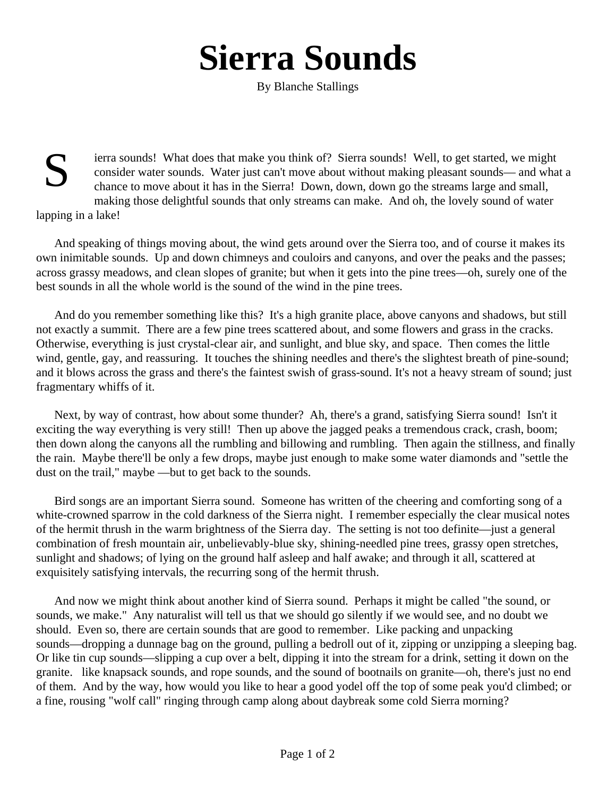## **Sierra Sounds**

By Blanche Stallings

S ierra sounds! What does that make you think of? Sierra sounds! Well, to get started, we might consider water sounds. Water just can't move about without making pleasant sounds— and what a chance to move about it has in the Sierra! Down, down, down go the streams large and small, making those delightful sounds that only streams can make. And oh, the lovely sound of water

lapping in a lake!

And speaking of things moving about, the wind gets around over the Sierra too, and of course it makes its own inimitable sounds. Up and down chimneys and couloirs and canyons, and over the peaks and the passes; across grassy meadows, and clean slopes of granite; but when it gets into the pine trees—oh, surely one of the best sounds in all the whole world is the sound of the wind in the pine trees.

And do you remember something like this? It's a high granite place, above canyons and shadows, but still not exactly a summit. There are a few pine trees scattered about, and some flowers and grass in the cracks. Otherwise, everything is just crystal-clear air, and sunlight, and blue sky, and space. Then comes the little wind, gentle, gay, and reassuring. It touches the shining needles and there's the slightest breath of pine-sound; and it blows across the grass and there's the faintest swish of grass-sound. It's not a heavy stream of sound; just fragmentary whiffs of it.

Next, by way of contrast, how about some thunder? Ah, there's a grand, satisfying Sierra sound! Isn't it exciting the way everything is very still! Then up above the jagged peaks a tremendous crack, crash, boom; then down along the canyons all the rumbling and billowing and rumbling. Then again the stillness, and finally the rain. Maybe there'll be only a few drops, maybe just enough to make some water diamonds and "settle the dust on the trail," maybe —but to get back to the sounds.

Bird songs are an important Sierra sound. Someone has written of the cheering and comforting song of a white-crowned sparrow in the cold darkness of the Sierra night. I remember especially the clear musical notes of the hermit thrush in the warm brightness of the Sierra day. The setting is not too definite—just a general combination of fresh mountain air, unbelievably-blue sky, shining-needled pine trees, grassy open stretches, sunlight and shadows; of lying on the ground half asleep and half awake; and through it all, scattered at exquisitely satisfying intervals, the recurring song of the hermit thrush.

And now we might think about another kind of Sierra sound. Perhaps it might be called "the sound, or sounds, we make." Any naturalist will tell us that we should go silently if we would see, and no doubt we should. Even so, there are certain sounds that are good to remember. Like packing and unpacking sounds—dropping a dunnage bag on the ground, pulling a bedroll out of it, zipping or unzipping a sleeping bag. Or like tin cup sounds—slipping a cup over a belt, dipping it into the stream for a drink, setting it down on the granite. like knapsack sounds, and rope sounds, and the sound of bootnails on granite—oh, there's just no end of them. And by the way, how would you like to hear a good yodel off the top of some peak you'd climbed; or a fine, rousing "wolf call" ringing through camp along about daybreak some cold Sierra morning?